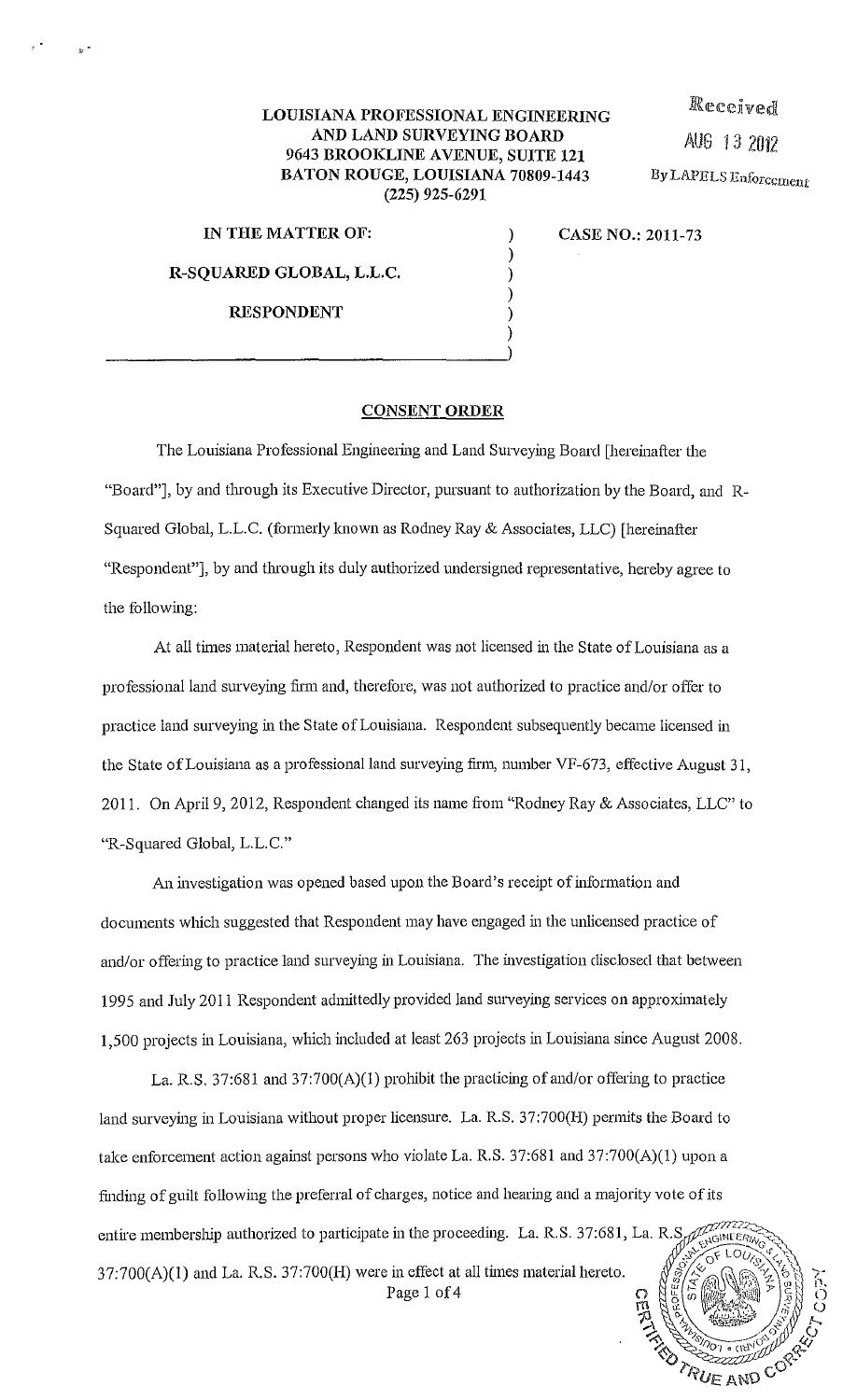## **LOUISIANA PROFESSIONAL ENGINEERING AND LAND SURVEYING BOARD 9643 BROOKLINE A VENUE, SUITE 121 BATON ROUGE, LOUISIANA 70809-1443 (225) 925-6291**

) ) ) )

Received AUG 13 2012 By LAPELS Enforcement

RUE AND CO

**IN THE MATTER OF:** )

**R-SQUARED GLOBAL, L.L.C.** 

**RESPONDENT** 

)  $_{\rm j}$ 

**CASE NO.: 2011-73** 

## **CONSENT ORDER**

The Louisiana Professional Engineering and Land Surveying Board [hereinafter the "Board"], by and through its Executive Director, pursuant to authorization by the Board, and R-Squared Global, L.L.C. (formerly known as Rodney Ray & Associates, LLC) [hereinafter "Respondent"], by and through its duly authorized undersigned representative, hereby agree to the following:

At all times material hereto, Respondent was not licensed in the State of Louisiana as a professional land surveying finn and, therefore, was not authorized to practice and/or offer to practice land surveying in the State of Louisiana. Respondent subsequently became licensed in the State of Louisiana as a professional land surveying firm, number VF-673, effective August 31, 2011. On April 9, 2012, Respondent changed its name from "Rodney Ray & Associates, LLC" to "R-Squared Global, L.L.C."

An investigation was opened based upon the Board's receipt of information and documents which suggested that Respondent may have engaged in the unlicensed practice of and/or offering to practice land surveying in Louisiana. The investigation disclosed that between 1995 and July 2011 Respondent admittedly provided land surveying services on approximately 1,500 projects in Louisiana, which included at least 263 projects in Louisiana since August 2008.

La. R.S. 37:681 and 37:700(A)(l) prohibit the practicing of and/or offering to practice land surveying in Louisiana without proper licensure. La. R.S. 37:700(H) permits the Board to take enforcement action against persons who violate La. R.S. 37:681 and 37:700(A)(1) upon a finding of guilt following the preferral of charges, notice and hearing and a majority vote of its entire membership authorized to participate in the proceeding. La. R.S. 37:681, La. R.S. 37:700(A)(l) and La. R.S. 37:700(H) were in effect at all times material hereto. Page 1 of 4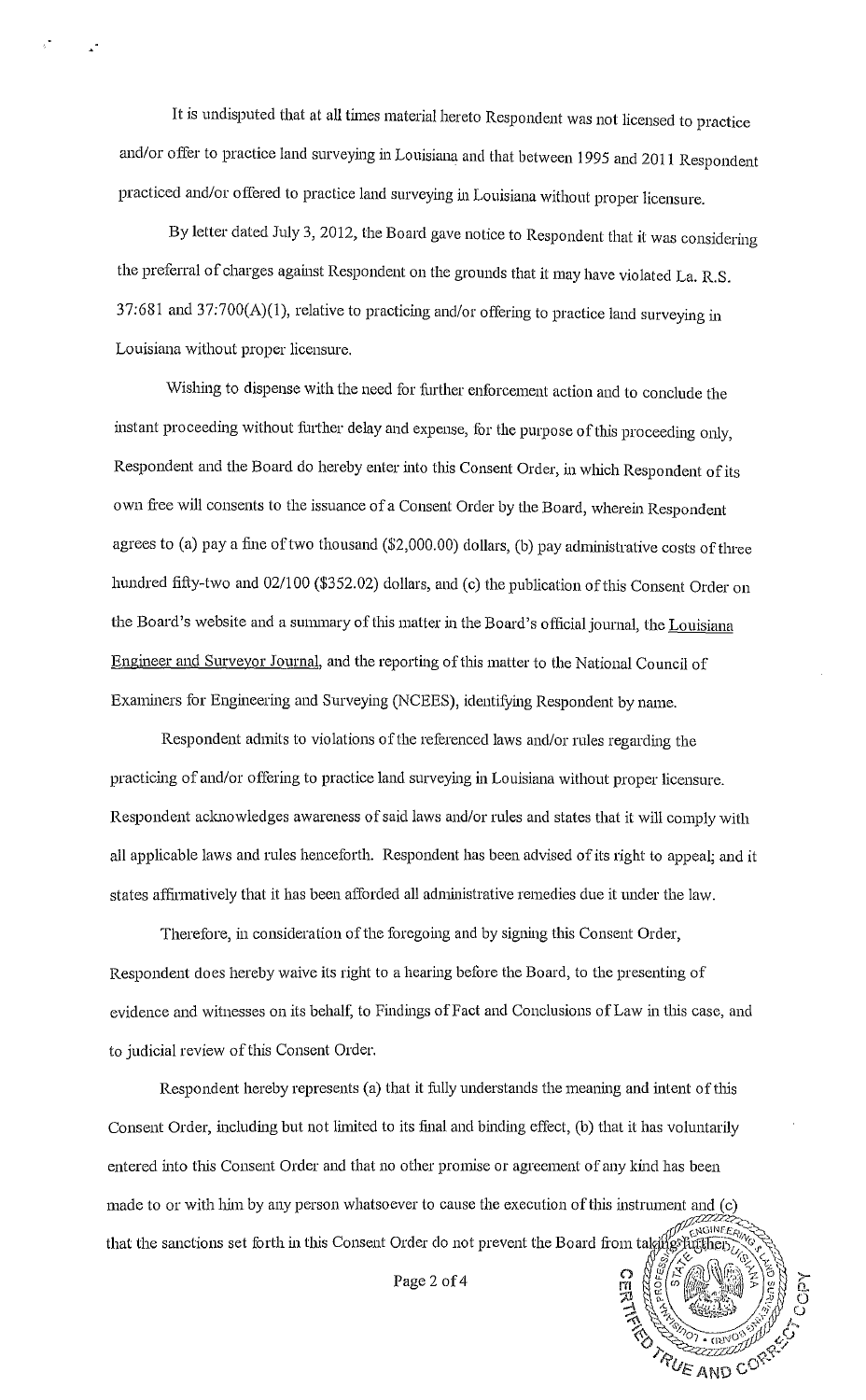It is undisputed that at all times material hereto Respondent was not licensed to practice and/or offer to practice land surveying in Louisiana and that between 1995 and 2011 Respondent practiced and/or offered to practice land surveying in Louisiana without proper licensure.

By letter dated July 3, 2012, the Board gave notice to Respondent that it was considering the preferral of charges against Respondent on the grounds that it may have violated La. R.S. 37:681 and 37:700(A)(l), relative to practicing and/or offering to practice land surveying in Louisiana without proper licensure.

Wishing to dispense with the need for further enforcement action and to conclude the instant proceeding without further delay and expense, for the purpose of this proceeding only, Respondent and the Board do hereby enter into this Consent Order, in which Respondent of its own free will consents to the issuance of a Consent Order by the Board, wherein Respondent agrees to (a) pay a fine of two thousand  $(\$2,000.00)$  dollars, (b) pay administrative costs of three hundred fifty-two and 02/100 (\$352.02) dollars, and (c) the publication of this Consent Order on the Board's website and a summary of this matter in the Board's official journal, the Louisiana Engineer and Surveyor Journal, and the reporting of this matter to the National Council of Examiners for Engineering and Smveying (NCEES), identifying Respondent by name.

Respondent admits to violations of the referenced laws and/or rules regarding the practicing of and/or offering to practice land surveying in Louisiana without proper licensure. Respondent acknowledges awareness of said laws and/or rules and states that it will comply with all applicable laws and rules henceforth. Respondent has been advised of its right to appeal; and it states affirmatively that it has been afforded all administrative remedies due it under the law.

Therefore, in consideration of the foregoing and by signing this Consent Order, Respondent does hereby waive its right to a hearing before the Board, to the presenting of evidence and witnesses on its behalf, to Findings of Fact and Conclusions of Law in tlus case, and to judicial review of this Consent Order.

Respondent hereby represents (a) that it fully understands the meaning and intent of this Consent Order, including but not limited to its final and binding effect, (b) that it has voluntarily entered into this Consent Order and that no other promise or agreement of any kind has been made to or with him by any person whatsoever to cause the execution of this instrument and (c) ENGINEE that the sanctions set forth in this Consent Order do not prevent the Board from taking the

Page 2 of 4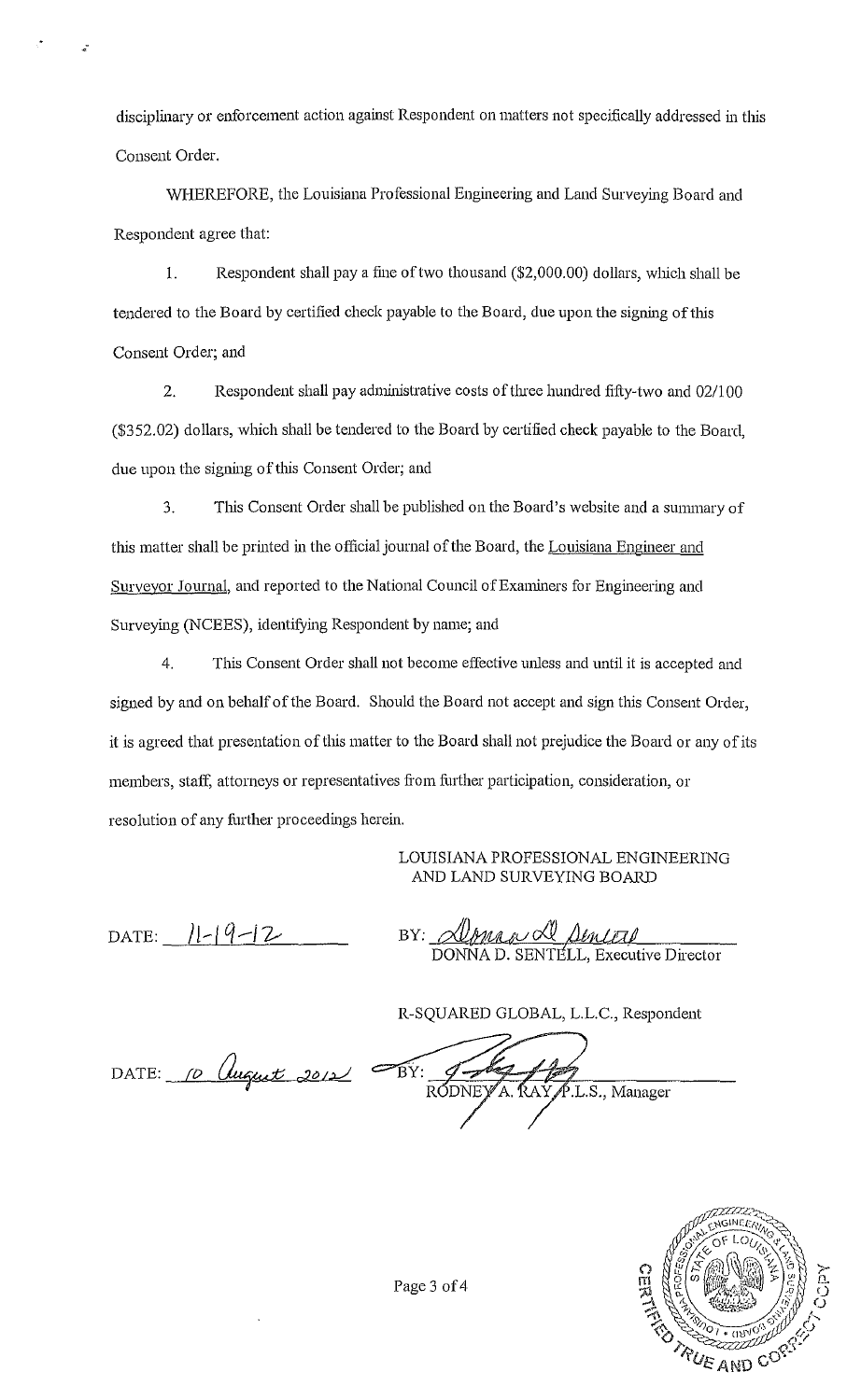disciplinary or enforcement action against Respondent on matters not specifically addressed in this Consent Order.

WHEREFORE, the Louisiana Professional Engineering and Land Surveying Board and Respondent agree that:

1. Respondent shall pay a fine of two thousand (\$2,000.00) dollars, which shall be tendered to the Board by certified check payable to the Board, due upon the signing of this Consent Order; and

2. Respondent shall pay administrative costs of three hundred fifty-two and 02/100 (\$352.02) dollars, which shall be tendered to the Board by certified check payable to the Board, due upon the signing of this Consent Order; and

3. Tllis Consent Order shall be published on the Board's website and a summary of this matter shall be printed in the official journal of the Board, the Louisiana Engineer and Surveyor Journal, and reported to the National Council of Examiners for Engineering and Surveying (NCEES), identifying Respondent by name; and

4. This Consent Order shall not become effective unless and until it is accepted and signed by and on behalf of the Board. Should the Board not accept and sign this Consent Order, it is agreed that presentation of this matter to the Board shall not prejudice the Board or any of its members, staff, attorneys or representatives from further participation, consideration, or resolution of any fiuther proceedings herein.

## LOUISIANA PROFESSIONAL ENGINEERING AND LAND SURVEYING BOARD

 $\text{DATE:}$   $||-|4-|2$ 

,-

BY: <u>Deonas de Senitif</u> DONNA D. SENTELL, Executive Director

R-SQUARED GLOBAL, L.L.C., Respondent

DATE: <u>10 August 2012</u>

 $\mathcal{F}_{\mathrm{BY}}$ .L.S., Manager RODNEYA, RAY



Page 3 of 4